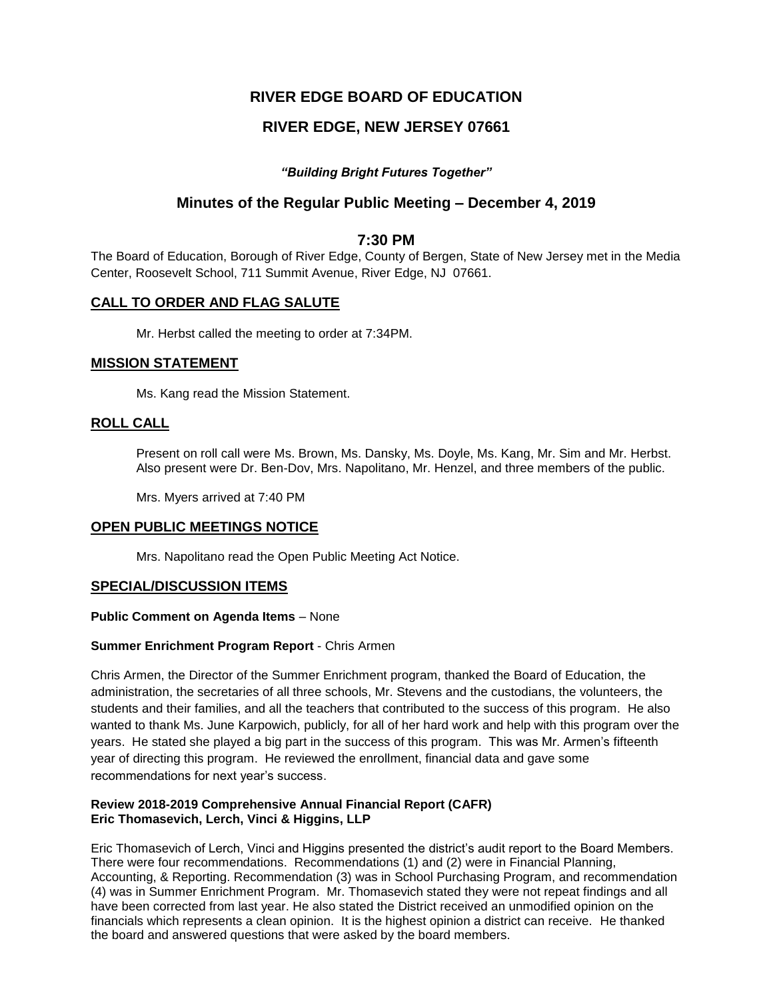# **RIVER EDGE BOARD OF EDUCATION**

# **RIVER EDGE, NEW JERSEY 07661**

## *"Building Bright Futures Together"*

## **Minutes of the Regular Public Meeting – December 4, 2019**

## **7:30 PM**

The Board of Education, Borough of River Edge, County of Bergen, State of New Jersey met in the Media Center, Roosevelt School, 711 Summit Avenue, River Edge, NJ 07661.

## **CALL TO ORDER AND FLAG SALUTE**

Mr. Herbst called the meeting to order at 7:34PM.

## **MISSION STATEMENT**

Ms. Kang read the Mission Statement.

## **ROLL CALL**

Present on roll call were Ms. Brown, Ms. Dansky, Ms. Doyle, Ms. Kang, Mr. Sim and Mr. Herbst. Also present were Dr. Ben-Dov, Mrs. Napolitano, Mr. Henzel, and three members of the public.

Mrs. Myers arrived at 7:40 PM

### **OPEN PUBLIC MEETINGS NOTICE**

Mrs. Napolitano read the Open Public Meeting Act Notice.

### **SPECIAL/DISCUSSION ITEMS**

#### **Public Comment on Agenda Items** – None

### **Summer Enrichment Program Report** - Chris Armen

Chris Armen, the Director of the Summer Enrichment program, thanked the Board of Education, the administration, the secretaries of all three schools, Mr. Stevens and the custodians, the volunteers, the students and their families, and all the teachers that contributed to the success of this program. He also wanted to thank Ms. June Karpowich, publicly, for all of her hard work and help with this program over the years. He stated she played a big part in the success of this program. This was Mr. Armen's fifteenth year of directing this program. He reviewed the enrollment, financial data and gave some recommendations for next year's success.

#### **Review 2018-2019 Comprehensive Annual Financial Report (CAFR) Eric Thomasevich, Lerch, Vinci & Higgins, LLP**

Eric Thomasevich of Lerch, Vinci and Higgins presented the district's audit report to the Board Members. There were four recommendations. Recommendations (1) and (2) were in Financial Planning, Accounting, & Reporting. Recommendation (3) was in School Purchasing Program, and recommendation (4) was in Summer Enrichment Program. Mr. Thomasevich stated they were not repeat findings and all have been corrected from last year. He also stated the District received an unmodified opinion on the financials which represents a clean opinion. It is the highest opinion a district can receive. He thanked the board and answered questions that were asked by the board members.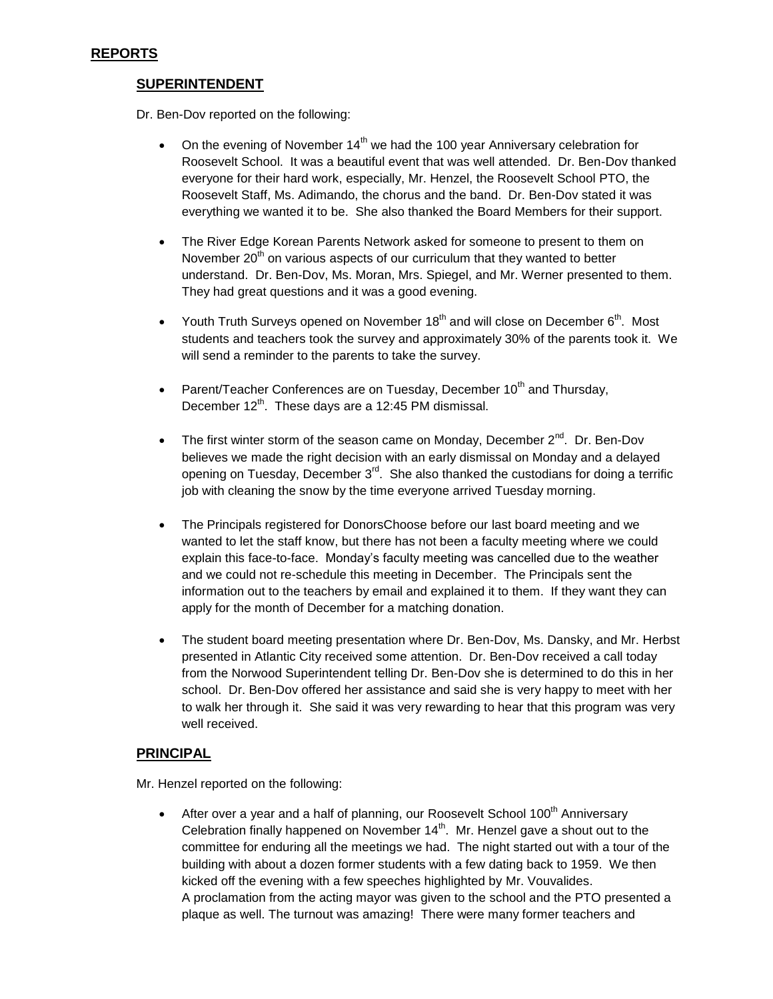## **REPORTS**

## **SUPERINTENDENT**

Dr. Ben-Dov reported on the following:

- On the evening of November  $14<sup>th</sup>$  we had the 100 year Anniversary celebration for Roosevelt School. It was a beautiful event that was well attended. Dr. Ben-Dov thanked everyone for their hard work, especially, Mr. Henzel, the Roosevelt School PTO, the Roosevelt Staff, Ms. Adimando, the chorus and the band. Dr. Ben-Dov stated it was everything we wanted it to be. She also thanked the Board Members for their support.
- The River Edge Korean Parents Network asked for someone to present to them on November 20<sup>th</sup> on various aspects of our curriculum that they wanted to better understand. Dr. Ben-Dov, Ms. Moran, Mrs. Spiegel, and Mr. Werner presented to them. They had great questions and it was a good evening.
- Youth Truth Surveys opened on November 18<sup>th</sup> and will close on December 6<sup>th</sup>. Most students and teachers took the survey and approximately 30% of the parents took it. We will send a reminder to the parents to take the survey.
- Parent/Teacher Conferences are on Tuesday, December  $10^{th}$  and Thursday, December  $12^{th}$ . These days are a 12:45 PM dismissal.
- The first winter storm of the season came on Monday, December  $2^{nd}$ . Dr. Ben-Dov believes we made the right decision with an early dismissal on Monday and a delayed opening on Tuesday, December  $3<sup>rd</sup>$ . She also thanked the custodians for doing a terrific job with cleaning the snow by the time everyone arrived Tuesday morning.
- The Principals registered for DonorsChoose before our last board meeting and we wanted to let the staff know, but there has not been a faculty meeting where we could explain this face-to-face. Monday's faculty meeting was cancelled due to the weather and we could not re-schedule this meeting in December. The Principals sent the information out to the teachers by email and explained it to them. If they want they can apply for the month of December for a matching donation.
- The student board meeting presentation where Dr. Ben-Dov, Ms. Dansky, and Mr. Herbst presented in Atlantic City received some attention. Dr. Ben-Dov received a call today from the Norwood Superintendent telling Dr. Ben-Dov she is determined to do this in her school. Dr. Ben-Dov offered her assistance and said she is very happy to meet with her to walk her through it. She said it was very rewarding to hear that this program was very well received.

## **PRINCIPAL**

Mr. Henzel reported on the following:

• After over a year and a half of planning, our Roosevelt School 100<sup>th</sup> Anniversary Celebration finally happened on November  $14<sup>th</sup>$ . Mr. Henzel gave a shout out to the committee for enduring all the meetings we had. The night started out with a tour of the building with about a dozen former students with a few dating back to 1959. We then kicked off the evening with a few speeches highlighted by Mr. Vouvalides. A proclamation from the acting mayor was given to the school and the PTO presented a plaque as well. The turnout was amazing! There were many former teachers and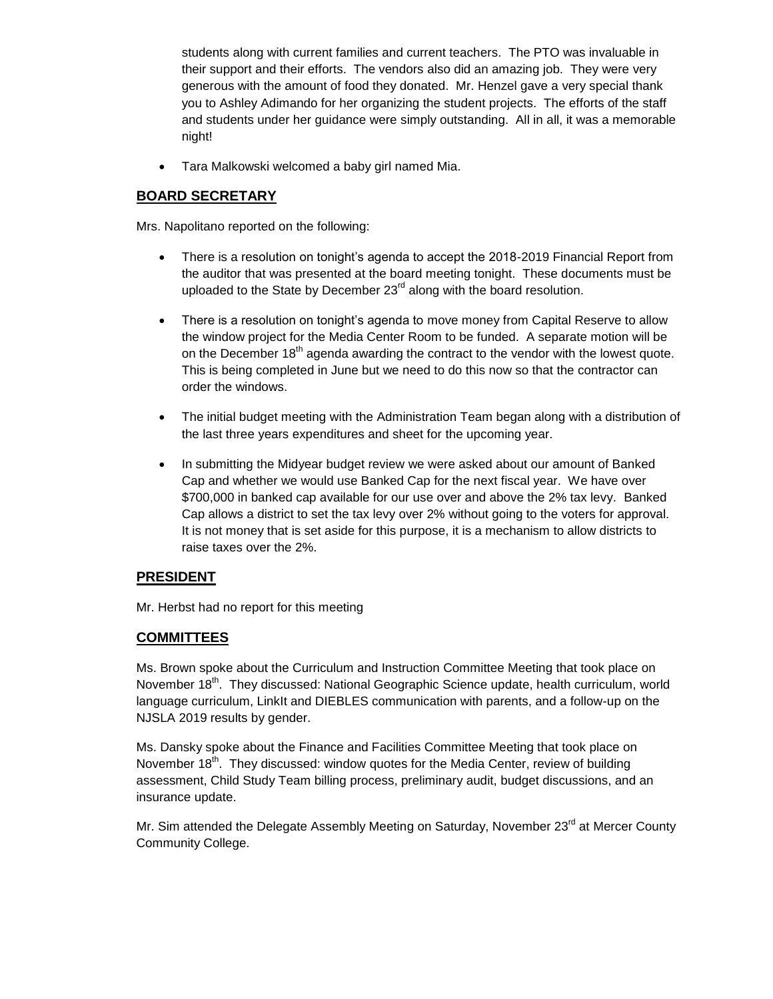students along with current families and current teachers. The PTO was invaluable in their support and their efforts. The vendors also did an amazing job. They were very generous with the amount of food they donated. Mr. Henzel gave a very special thank you to Ashley Adimando for her organizing the student projects. The efforts of the staff and students under her guidance were simply outstanding. All in all, it was a memorable night!

Tara Malkowski welcomed a baby girl named Mia.

# **BOARD SECRETARY**

Mrs. Napolitano reported on the following:

- There is a resolution on tonight's agenda to accept the 2018-2019 Financial Report from the auditor that was presented at the board meeting tonight. These documents must be uploaded to the State by December  $23<sup>rd</sup>$  along with the board resolution.
- There is a resolution on tonight's agenda to move money from Capital Reserve to allow the window project for the Media Center Room to be funded. A separate motion will be on the December  $18<sup>th</sup>$  agenda awarding the contract to the vendor with the lowest quote. This is being completed in June but we need to do this now so that the contractor can order the windows.
- The initial budget meeting with the Administration Team began along with a distribution of the last three years expenditures and sheet for the upcoming year.
- In submitting the Midyear budget review we were asked about our amount of Banked Cap and whether we would use Banked Cap for the next fiscal year. We have over \$700,000 in banked cap available for our use over and above the 2% tax levy. Banked Cap allows a district to set the tax levy over 2% without going to the voters for approval. It is not money that is set aside for this purpose, it is a mechanism to allow districts to raise taxes over the 2%.

## **PRESIDENT**

Mr. Herbst had no report for this meeting

## **COMMITTEES**

Ms. Brown spoke about the Curriculum and Instruction Committee Meeting that took place on November 18<sup>th</sup>. They discussed: National Geographic Science update, health curriculum, world language curriculum, LinkIt and DIEBLES communication with parents, and a follow-up on the NJSLA 2019 results by gender.

Ms. Dansky spoke about the Finance and Facilities Committee Meeting that took place on November  $18<sup>th</sup>$ . They discussed: window quotes for the Media Center, review of building assessment, Child Study Team billing process, preliminary audit, budget discussions, and an insurance update.

Mr. Sim attended the Delegate Assembly Meeting on Saturday, November 23<sup>rd</sup> at Mercer County Community College.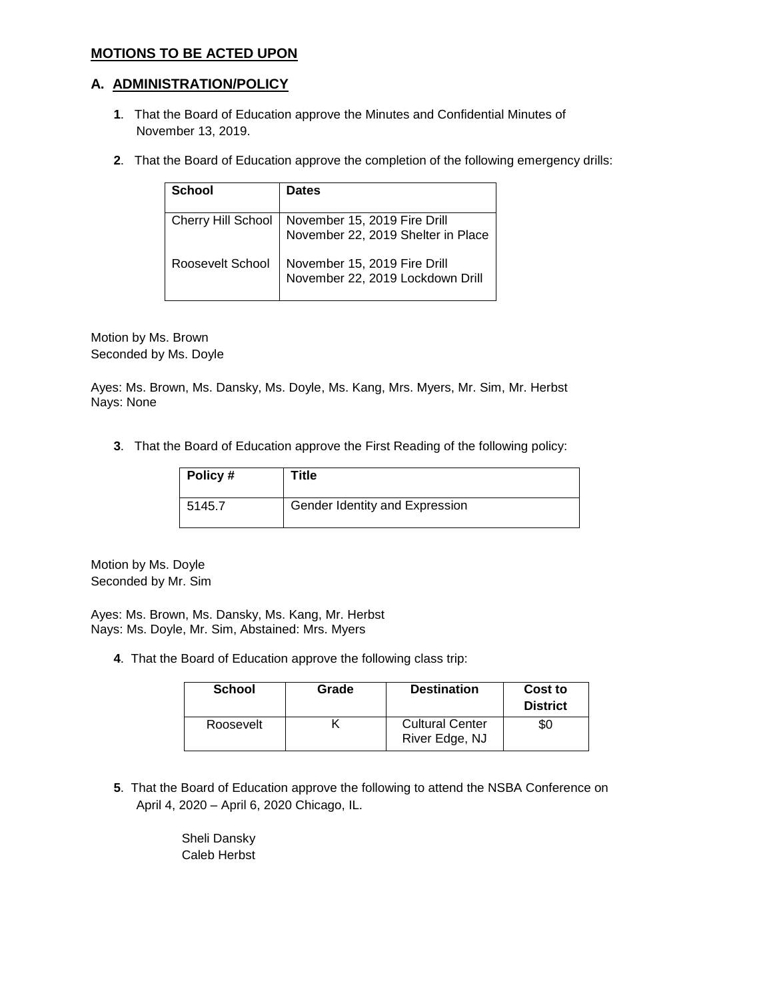## **MOTIONS TO BE ACTED UPON**

### **A. ADMINISTRATION/POLICY**

- **1**. That the Board of Education approve the Minutes and Confidential Minutes of November 13, 2019.
- **2**. That the Board of Education approve the completion of the following emergency drills:

| <b>School</b>    | <b>Dates</b>                                                                          |
|------------------|---------------------------------------------------------------------------------------|
|                  | Cherry Hill School November 15, 2019 Fire Drill<br>November 22, 2019 Shelter in Place |
| Roosevelt School | November 15, 2019 Fire Drill<br>November 22, 2019 Lockdown Drill                      |

Motion by Ms. Brown Seconded by Ms. Doyle

Ayes: Ms. Brown, Ms. Dansky, Ms. Doyle, Ms. Kang, Mrs. Myers, Mr. Sim, Mr. Herbst Nays: None

**3**. That the Board of Education approve the First Reading of the following policy:

| Policy# | Title                          |
|---------|--------------------------------|
| 5145.7  | Gender Identity and Expression |

Motion by Ms. Doyle Seconded by Mr. Sim

Ayes: Ms. Brown, Ms. Dansky, Ms. Kang, Mr. Herbst Nays: Ms. Doyle, Mr. Sim, Abstained: Mrs. Myers

**4**. That the Board of Education approve the following class trip:

| <b>School</b> | Grade | <b>Destination</b>                       | Cost to<br><b>District</b> |
|---------------|-------|------------------------------------------|----------------------------|
| Roosevelt     |       | <b>Cultural Center</b><br>River Edge, NJ | \$0                        |

**5**. That the Board of Education approve the following to attend the NSBA Conference on April 4, 2020 – April 6, 2020 Chicago, IL.

> Sheli Dansky Caleb Herbst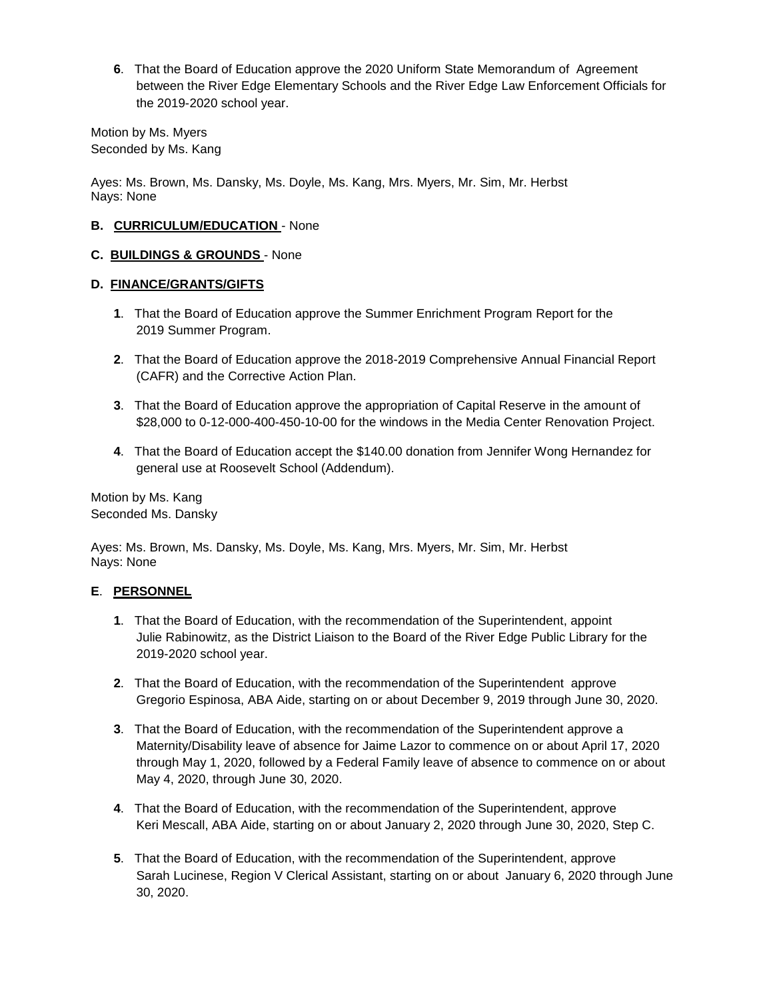**6**. That the Board of Education approve the 2020 Uniform State Memorandum of Agreement between the River Edge Elementary Schools and the River Edge Law Enforcement Officials for the 2019-2020 school year.

Motion by Ms. Myers Seconded by Ms. Kang

Ayes: Ms. Brown, Ms. Dansky, Ms. Doyle, Ms. Kang, Mrs. Myers, Mr. Sim, Mr. Herbst Nays: None

### **B. CURRICULUM/EDUCATION** - None

#### **C. BUILDINGS & GROUNDS** - None

#### **D. FINANCE/GRANTS/GIFTS**

- **1**. That the Board of Education approve the Summer Enrichment Program Report for the 2019 Summer Program.
- **2**. That the Board of Education approve the 2018-2019 Comprehensive Annual Financial Report (CAFR) and the Corrective Action Plan.
- **3**. That the Board of Education approve the appropriation of Capital Reserve in the amount of \$28,000 to 0-12-000-400-450-10-00 for the windows in the Media Center Renovation Project.
- **4**. That the Board of Education accept the \$140.00 donation from Jennifer Wong Hernandez for general use at Roosevelt School (Addendum).

Motion by Ms. Kang Seconded Ms. Dansky

Ayes: Ms. Brown, Ms. Dansky, Ms. Doyle, Ms. Kang, Mrs. Myers, Mr. Sim, Mr. Herbst Nays: None

### **E**. **PERSONNEL**

- **1**. That the Board of Education, with the recommendation of the Superintendent, appoint Julie Rabinowitz, as the District Liaison to the Board of the River Edge Public Library for the 2019-2020 school year.
- **2**. That the Board of Education, with the recommendation of the Superintendent approve Gregorio Espinosa, ABA Aide, starting on or about December 9, 2019 through June 30, 2020.
- **3**. That the Board of Education, with the recommendation of the Superintendent approve a Maternity/Disability leave of absence for Jaime Lazor to commence on or about April 17, 2020 through May 1, 2020, followed by a Federal Family leave of absence to commence on or about May 4, 2020, through June 30, 2020.
- **4**. That the Board of Education, with the recommendation of the Superintendent, approve Keri Mescall, ABA Aide, starting on or about January 2, 2020 through June 30, 2020, Step C.
- **5**. That the Board of Education, with the recommendation of the Superintendent, approve Sarah Lucinese, Region V Clerical Assistant, starting on or about January 6, 2020 through June 30, 2020.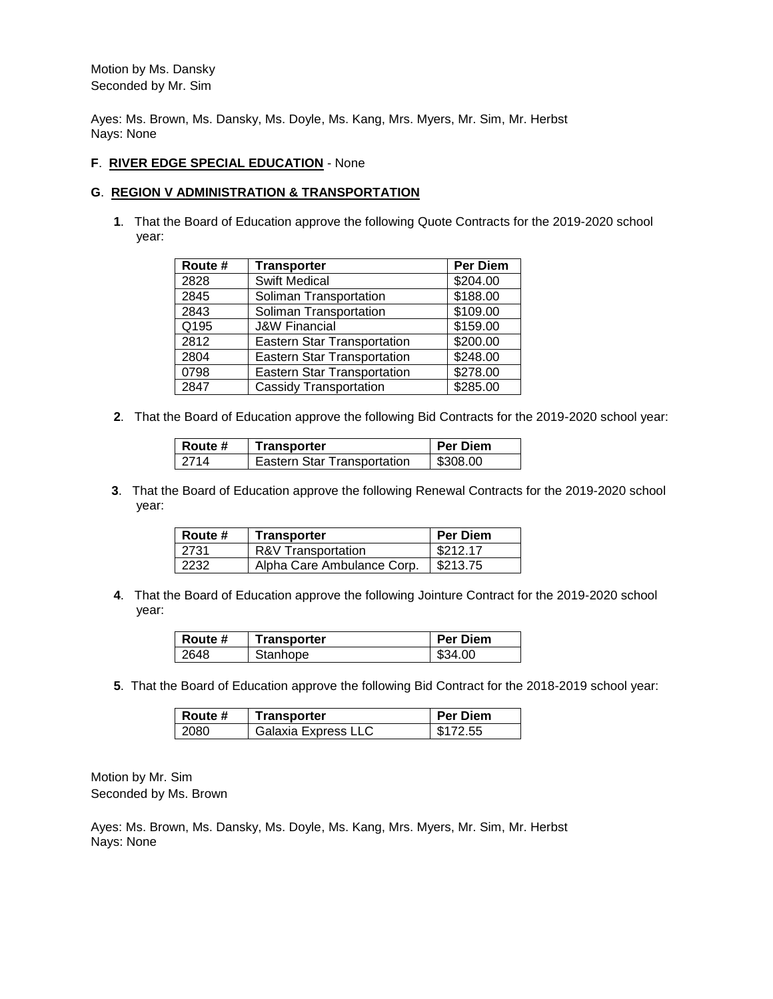Motion by Ms. Dansky Seconded by Mr. Sim

Ayes: Ms. Brown, Ms. Dansky, Ms. Doyle, Ms. Kang, Mrs. Myers, Mr. Sim, Mr. Herbst Nays: None

#### **F**. **RIVER EDGE SPECIAL EDUCATION** - None

#### **G**. **REGION V ADMINISTRATION & TRANSPORTATION**

**1**. That the Board of Education approve the following Quote Contracts for the 2019-2020 school year:

| Route # | <b>Transporter</b>                 | Per Diem |
|---------|------------------------------------|----------|
| 2828    | <b>Swift Medical</b>               | \$204.00 |
| 2845    | Soliman Transportation             | \$188.00 |
| 2843    | Soliman Transportation             | \$109.00 |
| Q195    | <b>J&amp;W Financial</b>           | \$159.00 |
| 2812    | <b>Eastern Star Transportation</b> | \$200.00 |
| 2804    | <b>Eastern Star Transportation</b> | \$248.00 |
| 0798    | <b>Eastern Star Transportation</b> | \$278.00 |
| 2847    | <b>Cassidy Transportation</b>      | \$285.00 |

**2**. That the Board of Education approve the following Bid Contracts for the 2019-2020 school year:

| ∣ Route # | <b>Transporter</b>                 | <b>Per Diem</b> |
|-----------|------------------------------------|-----------------|
| -2714     | <b>Eastern Star Transportation</b> | \$308.00        |

**3**. That the Board of Education approve the following Renewal Contracts for the 2019-2020 school year:

| Route # | Transporter                | <b>Per Diem</b> |
|---------|----------------------------|-----------------|
| 2731    | R&V Transportation         | \$212.17        |
| 2232    | Alpha Care Ambulance Corp. | \$213.75        |

**4**. That the Board of Education approve the following Jointure Contract for the 2019-2020 school year:

| ∣ Route # | <b>Transporter</b> | <b>Per Diem</b> |
|-----------|--------------------|-----------------|
| 2648      | Stanhope           | \$34.00         |

**5**. That the Board of Education approve the following Bid Contract for the 2018-2019 school year:

| <b>Route #</b> | <b>Transporter</b>  | <b>Per Diem</b> |
|----------------|---------------------|-----------------|
| 2080           | Galaxia Express LLC | \$172.55        |

Motion by Mr. Sim Seconded by Ms. Brown

Ayes: Ms. Brown, Ms. Dansky, Ms. Doyle, Ms. Kang, Mrs. Myers, Mr. Sim, Mr. Herbst Nays: None